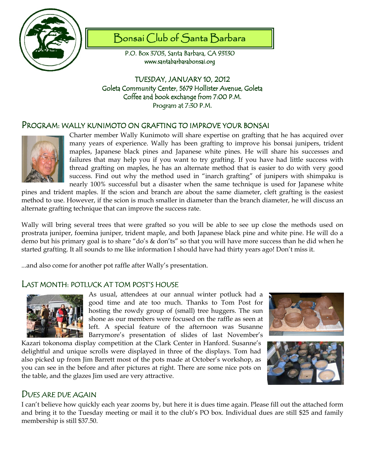

# Bonsai Club of Santa Barbara

P.O. Box 3703, Santa Barbara, CA 93130 www.santabarbarabonsai.org

TUESDAY, JANUARY 10, 2012 Goleta Community Center, 5679 Hollister Avenue, Goleta Coffee and book exchange from 7:00 P.M. Program at 7:30 P.M.

## Program: wally kunimoto on grafting to improve your bonsai



Charter member Wally Kunimoto will share expertise on grafting that he has acquired over many years of experience. Wally has been grafting to improve his bonsai junipers, trident maples, Japanese black pines and Japanese white pines. He will share his successes and failures that may help you if you want to try grafting. If you have had little success with thread grafting on maples, he has an alternate method that is easier to do with very good success. Find out why the method used in "inarch grafting" of junipers with shimpaku is nearly 100% successful but a disaster when the same technique is used for Japanese white

pines and trident maples. If the scion and branch are about the same diameter, cleft grafting is the easiest method to use. However, if the scion is much smaller in diameter than the branch diameter, he will discuss an alternate grafting technique that can improve the success rate.

Wally will bring several trees that were grafted so you will be able to see up close the methods used on prostrata juniper, foemina juniper, trident maple, and both Japanese black pine and white pine. He will do a demo but his primary goal is to share "do's & don'ts" so that you will have more success than he did when he started grafting. It all sounds to me like information I should have had thirty years ago! Don't miss it.

...and also come for another pot raffle after Wally's presentation.

## LAST MONTH: POTLUCK AT TOM POST'S HOUSE



As usual, attendees at our annual winter potluck had a good time and ate too much. Thanks to Tom Post for hosting the rowdy group of (small) tree huggers. The sun shone as our members were focused on the raffle as seen at left. A special feature of the afternoon was Susanne Barrymore's presentation of slides of last November's

Kazari tokonoma display competition at the Clark Center in Hanford. Susanne's delightful and unique scrolls were displayed in three of the displays. Tom had also picked up from Jim Barrett most of the pots made at October's workshop, as you can see in the before and after pictures at right. There are some nice pots on the table, and the glazes Jim used are very attractive.





## DUES ARE DUE AGAIN

I can't believe how quickly each year zooms by, but here it is dues time again. Please fill out the attached form and bring it to the Tuesday meeting or mail it to the club's PO box. Individual dues are still \$25 and family membership is still \$37.50.